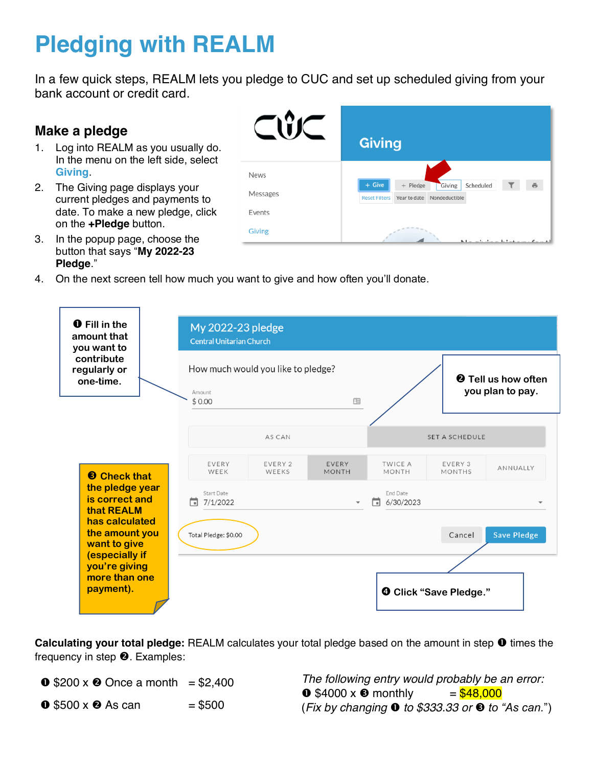## **Pledging with REALM**

In a few quick steps, REALM lets you pledge to CUC and set up scheduled giving from your bank account or credit card.

## **Make a pledge**

- 1. Log into REALM as you usually do. In the menu on the left side, select **Giving**.
- 2. The Giving page displays your current pledges and payments to date. To make a new pledge, click on the **+Pledge** button.



- 3. In the popup page, choose the button that says "My 2022-23 **Pledge**.´
- 4. On the next screen tell how much you want to give and how often you'll donate.



**Calculating your total pledge:** REALM calculates your total pledge based on the amount in step  $\bullet$  times the frequency in step  $\Theta$ . Examples:

- **0**  $$200 \times 2$  Once a month = \$2,400
- $\bullet$  \$500 x  $\bullet$  As can = \$500

*The following entry would probably be an error:*  $\bullet$  \$4000 x  $\bullet$  monthly = \$48,000  $(Fix by changing **①** to $333.33 or **③** to "As can.")$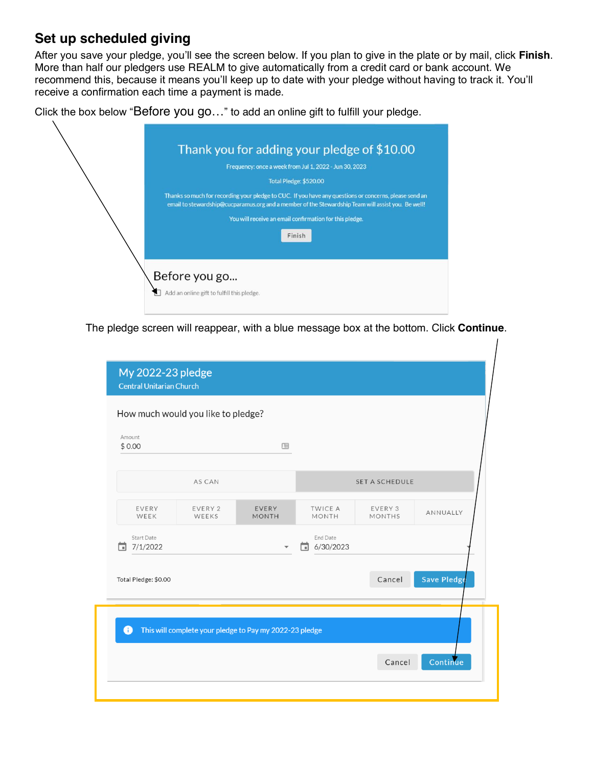## **Set up scheduled giving**

After you save your pledge, you'll see the screen below. If you plan to give in the plate or by mail, click Finish. More than half our pledgers use REALM to give automatically from a credit card or bank account. We recommend this, because it means you'll keep up to date with your pledge without having to track it. You'll receive a confirmation each time a payment is made.

Click the box below "Before you go..." to add an online gift to fulfill your pledge.

|  | Thank you for adding your pledge of \$10.00                                                                                                                                                                                            |  |  |  |  |  |
|--|----------------------------------------------------------------------------------------------------------------------------------------------------------------------------------------------------------------------------------------|--|--|--|--|--|
|  | Frequency: once a week from Jul 1, 2022 - Jun 30, 2023                                                                                                                                                                                 |  |  |  |  |  |
|  | Total Pledge: \$520.00<br>Thanks so much for recording your pledge to CUC. If you have any questions or concerns, please send an<br>email to stewardship@cucparamus.org and a member of the Stewardship Team will assist you. Be well! |  |  |  |  |  |
|  |                                                                                                                                                                                                                                        |  |  |  |  |  |
|  | You will receive an email confirmation for this pledge.                                                                                                                                                                                |  |  |  |  |  |
|  | Finish                                                                                                                                                                                                                                 |  |  |  |  |  |
|  |                                                                                                                                                                                                                                        |  |  |  |  |  |
|  | Before you go<br>Add an online gift to fulfill this pledge.                                                                                                                                                                            |  |  |  |  |  |

The pledge screen will reappear, with a blue message box at the bottom. Click **Continue**.

| \$0.00                        |                  | 咀                     |                                         |                          |             |
|-------------------------------|------------------|-----------------------|-----------------------------------------|--------------------------|-------------|
|                               | AS CAN           |                       |                                         | <b>SET A SCHEDULE</b>    |             |
| EVERY<br>WEEK                 | EVERY 2<br>WEEKS | EVERY<br><b>MONTH</b> | <b>TWICE A</b><br>MONTH                 | EVERY 3<br><b>MONTHS</b> | ANNUALLY    |
| <b>Start Date</b><br>7/1/2022 |                  |                       | End Date<br>6/30/2023<br>$\blacksquare$ |                          |             |
| Total Pledge: \$0.00          |                  |                       |                                         | Cancel                   | Save Pledge |
|                               |                  |                       |                                         |                          |             |